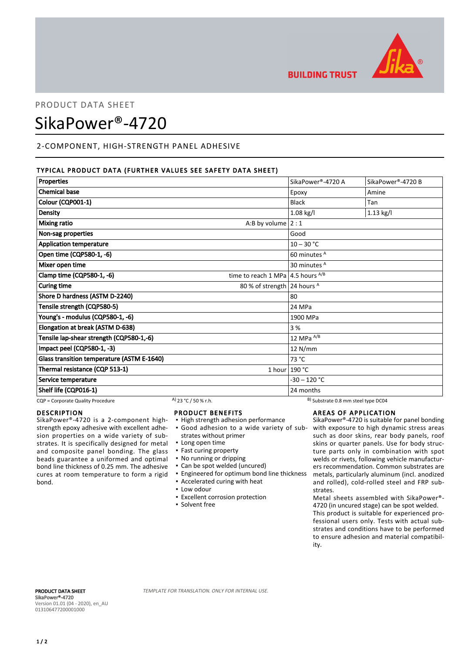

## **BUILDING TRUST**

### PRODUCT DATA SHEET

# SikaPower®-4720

#### 2-COMPONENT, HIGH-STRENGTH PANEL ADHESIVE

#### TYPICAL PRODUCT DATA (FURTHER VALUES SEE SAFETY DATA SHEET)

| <b>Properties</b>                                                            | SikaPower®-4720 A       | SikaPower®-4720 B |
|------------------------------------------------------------------------------|-------------------------|-------------------|
| <b>Chemical base</b>                                                         | Epoxy                   | Amine             |
| Colour (CQP001-1)                                                            | <b>Black</b>            | Tan               |
| <b>Density</b>                                                               | $1.08$ kg/l             | $1.13$ kg/l       |
| <b>Mixing ratio</b><br>A:B by volume $2:1$                                   |                         |                   |
| Non-sag properties                                                           | Good                    |                   |
| <b>Application temperature</b>                                               | $10 - 30 °C$            |                   |
| Open time (CQP580-1, -6)                                                     | 60 minutes <sup>A</sup> |                   |
| Mixer open time                                                              | 30 minutes A            |                   |
| Clamp time (CQP580-1, -6)<br>time to reach 1 MPa $ 4.5$ hours <sup>A/B</sup> |                         |                   |
| <b>Curing time</b><br>80 % of strength 24 hours A                            |                         |                   |
| Shore D hardness (ASTM D-2240)                                               | 80                      |                   |
| Tensile strength (CQP580-5)                                                  | 24 MPa                  |                   |
| Young's - modulus (CQP580-1, -6)                                             | 1900 MPa                |                   |
| Elongation at break (ASTM D-638)                                             | 3 %                     |                   |
| Tensile lap-shear strength (CQP580-1,-6)                                     | 12 MPa $^{A/B}$         |                   |
| Impact peel (CQP580-1, -3)                                                   | 12 N/mm                 |                   |
| Glass transition temperature (ASTM E-1640)                                   | 73 °C                   |                   |
| Thermal resistance (CQP 513-1)                                               | 1 hour $190 °C$         |                   |
| Service temperature                                                          | $-30 - 120$ °C          |                   |
| Shelf life (CQP016-1)                                                        | 24 months               |                   |

 $CQP =$ Corporate Quality Procedure  $A)$  23 °C / 50 % r.h. B) Substrate 0.8 mm steel type DC04

#### DESCRIPTION

SikaPower®-4720 is a 2-component highstrength epoxy adhesive with excellent adhesion properties on a wide variety of substrates. It is specifically designed for metal and composite panel bonding. The glass beads guarantee a uniformed and optimal bond line thickness of 0.25 mm. The adhesive cures at room temperature to form a rigid bond.

#### PRODUCT BENEFITS

- **· High strength adhesion performance** Good adhesion to a wide variety of sub-▪
- strates without primer
- Long open time
- Fast curing property
- No running or dripping
- Can be spot welded (uncured)
- Engineered for optimum bond line thickness
- Accelerated curing with heat
- Low odour
- **Excellent corrosion protection**
- **Solvent free**

#### AREAS OF APPLICATION

SikaPower®-4720 is suitable for panel bonding with exposure to high dynamic stress areas such as door skins, rear body panels, roof skins or quarter panels. Use for body structure parts only in combination with spot welds or rivets, following vehicle manufacturers recommendation. Common substrates are metals, particularly aluminum (incl. anodized and rolled), cold-rolled steel and FRP substrates.

Metal sheets assembled with SikaPower®- 4720 (in uncured stage) can be spot welded. This product is suitable for experienced professional users only. Tests with actual substrates and conditions have to be performed to ensure adhesion and material compatibil-

ity.